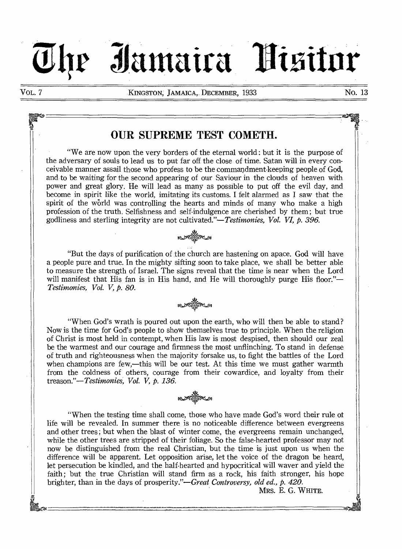VOL. 7 **KINGSTON**, JAMAICA, DECEMBER, 1933 NO. 13

**Zhe Iamaira Nisitor** 

# OUR SUPREME TEST COMETH.

"We are now upon the very borders of the eternal world : but it is the purpose of the adversary of souls to lead us to put far off the close of time. Satan will in every conceivable manner assail those who profess to be the commandment-keeping people of God, and to be waiting for the second appearing of our Saviour in the clouds of heaven with power and great glory. He will lead as many as possible to put off the evil day, and become in spirit like the world, imitating its customs. I felt alarmed as I saw that the spirit of the world was controlling the hearts and minds of many who make a high profession of the truth. Selfishness and self-indulgence are cherished by them ; but true godliness and sterling integrity are not *cultivated."—Testimonies, Vol. VI, p. 396.* 



"But the days of purification of the church are hastening on apace. God will have a people pure and true. In the mighty sifting soon to take place, we shall be better able to measure the strength of Israel. The signs reveal that the time is near when the Lord will manifest that His fan is in His hand, and He will thoroughly purge His floor."— *Testimonies, Vol. V, p. 80.* 

"When God's wrath is poured out upon the earth, who will then be able to stand? Now is the time for God's people to show themselves true to principle. When the religion of Christ is most held in contempt, when His law is most despised, then should our zeal be the warmest and our courage and firmness the most unflinching. To stand in defense of truth and righteousness when the majority forsake us, to fight the battles of the Lord when champions are few,—this will be our test. At this time we must gather warmth from the coldness of others, courage from their cowardice, and loyalty from their *treason."—Testimonies, Vol. V, p. 136.* 



"When the testing time shall come, those who have made God's word their rule of life will be revealed. In summer there is no noticeable difference between evergreens and other trees ; but when the blast of winter come, the evergreens remain unchanged, while the other trees are stripped of their foliage. So the false-hearted professor may not now be distinguished from the real Christian, but the time is just upon us when the difference will be apparent. Let opposition arise, let the voice of the dragon be heard, let persecution be kindled, and the half-hearted and hypocritical will waver and yield the faith; but the true Christian will stand firm as a rock, his faith stronger, his hope brighter, than in the days of prosperity."—Great *Controversy, old ed., p. 420.* 

MRS. E. G. WHITE.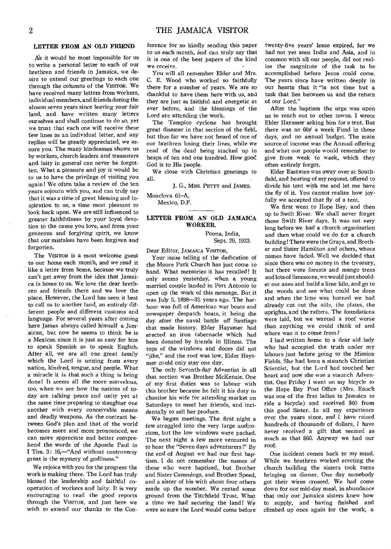#### LETTER FROM AN OLD FRIEND

As it would be most impossible for us to write a personal letter to each of our brethren and friends in Jamaica, we desire to extend our greetings to each one through the columns of the VISITOR. We have received many letters from workers, individual members, and friends during the almost seven years since leaving your fair land, and have written many letters ourselves and shall continue to do so, yet we trust that each one will receive these few lines as an individual letter, and any replies will be greatly appreciated, we assure you. The many kindnesses shown us by workers, church leaders and treasurers and laity in general can never be forgotten. What a pleasure and joy it would be to us to have the privilege of visiting you again! We often take a review of the ten years sojourn with you, and can truly say that it was a time of great blessing and inspiration to us, a time most pleasant to look back upon. We are still influenced to greater faithfulness by your loyal devotion to the cause you love, and from your generous and forgiving spirit, we know that our mistakes have been forgiven and forgotten.

The VISITOR is a most welcome guest to our home each month, and we read it like a letter from home, because we truly can't get away from the idea that Jamaica is home to us. We love the dear brethren and friends there and we love the place. However, the Lord has seen it best to call us to another land, an entirely different people and different customs and language. For several years after coming here James always called himself a Jamaican, but now he seems to think he is a Mexican since it is just as easy for him to speak Spanish as to speak English. After all, we are all one great family which the Lord is uniting from every nation, kindred, tongue, and people. What a miracle it is that such a thing is being done! It seems all the more marvelous, too, when we see how the nations of today are talking peace and unity yet at the same time preparing to slaughter one another with every conceivable means and deadly weapons. As the contrast between God's plan and that of the world becomes more and more pronounced, we can more appreciate and better comprehend the words of the Apostle Paul in I Tim. 3: 16,—"And without controversy great is the mystery of godliness."

We rejoice with you for the progress the work is making there. The Lord has truly blessed the leadership and faithful cooperation of workers and laity. It is very encouraging to read the good reports through the VISITOR, and just here we wish to extend our thanks to the Conference for so kindly sending this paper to us each month, and can truly say that it is one of the best papers of the kind we receive.

You will all remember Elder and Mrs. C. E. Wood who worked so faithfully there for a number of years. We are so thankful to have them here with us, and they are just as faithful and energetic as ever before, and the blessings of the Lord are attending the work.

The Tampico cyclone has brought great disaster in that section of the field, but thus far we have not heard of one of our brethren losing their lives, while we read of the dead being stacked up in heaps of ten and one hundred. How good God is to His people.

We close with Christian greetings to all.

J. G., MRS. PETTY and JAMES.

Monclova 61—A,

Mexico, D.F.

# LETTER FROM AN OLD JAMAICA WORKER.

Poona, India, Sept. 29, 1933.

Dear Editor, JAMAICA VISITOR,

Your issue telling of the dedication of the Moore Park Church has just come to hand. What memories it has recalled! It only seems yesterday, when a young married couple landed in Port Antonio to open up the work of this message. But it was July 5, 1898-35 years ago. The harbour was full of American war boats and newspaper despatch boats, it being the day after the naval battle off Santiago that made history. Elder Haysmer had erected an iron tabernacle which had been donated by friends in Illinois. The tops of the windows and doors did not "jibe," and the roof was low. Elder Haysmer could only stay one day.

The only Seventh-day Adventist in all that section was Brother McKenzie. One of my first duties was to labour with this brother because he felt it his duty to chastise his wife for attending market on Saturdays to meet her friends, and incidentally to sell her produce.

We began meetings. The first night a few straggled into the very large auditorium, but the low windows were packed. The next night a few more ventured in to hear the "Seven days adventurers !" By the end of August we had our first baptism. I do not remember the names of those who were baptized,, but Brother and Sister Cummings, and Brother Speed, and a sister of his with about four others made up the number. We rented some ground from the Titchfield Trust. What a time we had securing the land! We were so sure the Lord would come before

twenty-five years' lease expired, for we had not yet seen India and Asia, and in common with all our people, did not realize the magnitute of the task to be accomplished before Jesus could come. The years since have written deeply in our hearts that it "is not time but a task that lies between us and the return of our Lord."

After the baptism the urge was upon us to reach out to other towns. I wrote Elder Haysmer asking him for a tent. But there was no 60¢ a week Fund in those days, and no annual budget. The main source of income was the Annual offering and what our people would remember to give from week to week, which they often entirely forgot.

Elder Eastman was away over at Southfield, and hearing of my request, offered to divide his tent with me and let me have the fly of it. You cannot realize how joyfully we accepted that fly of a tent.

We first went to Hope Bay, and then up to Swift River. We shall never forget those Swift River days. It was not very long before we had a church organization and then what could we do for a church building !There were the Grays, and Brother and Sister Hamilton and others, whose names have faded. Well we decided that since there was no money in the treasury, but there were forests and mango trees and lots of limestone, we would just shoulder our axes and build a lime kiln, and go to the woods and see what could be done and when the lime was burned we had already cut out the sills, the plates, the uprights, and the rafters. The foundations were laid, but we wanted a roof worse than anything we could think of and where was it to come from?

I had written home to a dear old lady who had accepted the truth under my labours just before going to the Mission Fields. She had been a staunch Christian Scientist, but the Lord had touched her heart and now she was a staunch Adventist. One Friday I went on my bicycle to the Hope Bay Post Office (Mrs. Enoch was one of the first ladies in Jamaica to ride a bicycle) and received \$60 from this good Sister. In all my experience over the years since, and I have raised hundreds of thousands of dollars, I have never received a gift that seemed as much as that \$60. Anyway we had our roof.

One incident comes back to my mind. While we brethren worked erecting the church building the sisters took turns bringing us dinner. One day somebody got their wires crossed. We had come down for our mid-day meal, in abundance that only our Jamaica sisters knew how to supply, and having finished and climbed up once again for the work, a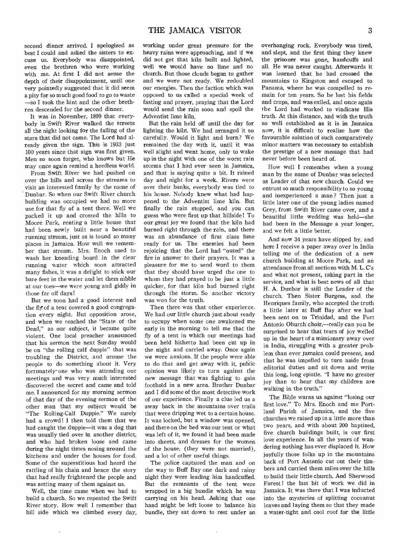second dinner arrived. I apologized as best I could and asked the sisters to excuse us. Everybody was disappointed, even the brethren -who were working with me. At first I did not sense the depth of their disappointment, until one very pointedly suggested that it did seem a pity for so much good food to go to waste —so I took the hint and the other brethren descended for the second dinner.

It was in November, 1899 that everybody in Swift River walked the streets all the night looking for the falling of the stars that did not come. The Lord had already given the sign. This is 1933 just 100 years since that sign was first given. Men so soon forget, who knows but He may once again remind a heedless world.

From Swift River we had pushed on over the hills and across the streams to visit an interested family by the name of Dunbar. So when our Swift River church building was occupied we had no more use, for that fly of a tent there. Well we packed it up and crossed the hills to Moore Park, renting a little house that had been newly built near a beautiful running stream, just as is found so many places in Jamaica. How well we remember that stream. Mrs. Enoch used to wash her kneading board in the clear running water which soon attracted many fishes, it was a delight to stick our bare feet in the water and let them nibble at our toes—we were young and giddy in those far off days!

But we soon had a good interest and the fly of -a tent covered a good congregation every night. But opposition arose, and when we reached the "State of the Dead," as our subject, it became quite violent. One local preacher announced that his sermon the next Sunday would be on "the rolling calf duppie" that was troubling the District, and arouse the people to do something about it. Very fortunately-one who was attending our meetings and was very much interested discovered the secret and came and told me. I announced for my morning sermon of that day of the evening sermon of the other man that my subject would be "The Rolling-Calf Duppie." We surely had a crowd! I then told them that we had caught the duppie—it was a dog that was usually tied over in another district, and who had broken loose and came during the night times nosing around the kitchens and under the houses for food. Some of the superstitious had heard the rattling of his chain and hence the story that had really frightened the people and was setting many of them against us.

Well, the time came when we had to build a church. So we repeated the Swift River story. How well I remember that hill side which we climbed every day,

 $\cdot$ 

working under great pressure for the heavy rains were approaching, and if we did not get that kiln built and lighted, well we would have no lime and no church. But those clouds began to gather and we were not ready. We redoubled our energies. Then the faction which was opposed to us called a special week of fasting and prayer, praying that the Lord would send the rain soon and spoil the Adventist lime kiln.

But the rain held off until the day for lighting the kiln. We had arranged it so carefully. Would it light and burn? We remained the day with it, until it was well alight and went home, only to wake up in the night with one of the worst rain storms that I had ever seen in Jamaica, and that is saying quite a bit. It rained day and night for a week. Rivers were over their banks, everybody was tied to his house. Nobody knew what had happened to the Adventist lime kiln. But finally the rain stopped, and you can guess who were first up that hillside! To our great joy we found that the kiln had burned right through the rain, and there was an abundance of first class lime ready for us. The enemies had been rejoicing that the Lord had "outed" the fire in answer to their prayers. It was a pleasure for me to send word to them that they should have urged the one to whom they had prayed to be just a little quicker, for that kiln had burned right through the storm. So another victory was won for the truth.

Then there was that other experience. We had our little church just about ready to occupy when some one awakened me early in the morning to tell me that the fly of a tent in which our meetings had been held hitherto had been cut up in the night and carried away. Once again we were anxious. If the people were able to do that and get away with it, public opinion was likely to turn against the new message that was fighting to gain foothold in a new area. Brother Dunbar and I did some of the most detective work of our experience. Finally a clue led us a away back in the mountains over trails that were dripping wet to a certain house. It was locked, but a window was opened, and there on the bed was our tent or what was left of it, we found it had been made into sheets, and dresses for the women of the house, (they were not married), and a lot of other useful things.

The police captured the man and on the way to Buff Bay one dark and rainy night they were leading him handcuffed. But the remnants of the tent were wrapped in a big bundle which he was carrying on his head. Asking that one hand might be left loose to balance his bundle, they sat down to rest under an overhanging rock. Everybody was tired, and slept, and the first thing they knew the prisoner was gone, handcuffs and all. He was never caught. Afterwards it was learned that he had crossed the mountains to Kingston and escaped to Panama, where he was compelled to remain for ten years. So he lost his fields and crops, and was exiled, and once again the Lord had worked to vindicate His truth. At this distance, and with the truth so well established as it is in Jamaica now, it is difficult to realize how the favourable solution of such comparatively minor matters was necessary to establish the prestige of a new message that had never before been heard of.

How well I remember when a young man by the name of Dunbar was selected as Leader of that new church. Could we entrust so much responsibility to so young and inexperienced a man ? Then just a little later one of the young ladies named Grey, from Swift River came over, and a beautiful little wedding was held—she had been in the Message a year longer, and we felt a little better.

And now 34 years have slipped by, and here I receive a paper away over in India telling me of the dedication of a new church building at Moore Park, and an attendance from all sections with M. L. C's and what not present, taking part in the service, and what is best news of all that H. A. Dunbar is still the Leader of the church. Then Sister Burgess, and the Henriques family, who accepted the truth a little later at Buff Bay after we had been sent on to Trinidad, and the Port Antonio Ohurch choir,—really can you be surprised to hear that tears of joy welled up in the heart of a missionary away over in India, struggling with a greater problem than ever Jamaica could present, and that he was impelled to turn aside from editorial duties and sit down and write this long, long epistle. "I have no greater joy than to hear that my children are walking in the truth."

The Bible warns us against "losing our first love." To Mrs. Enoch and me Portland Parish of Jamaica, and the five churches we raised up in a little more than two years, and with about 200 baptized, five church buildings built, is our first love experience. In all the years of wandering nothing has ever displaced it. How joyfully those folks up in the mountains back of Port Antonio cut out their timbers and carried them miles over the hills to build their little church. And Sherwood Forest! the last bit of work we did in Jamaica. It was there that I was inducted into the mysteries of splitting cocoanut leaves and laying them so that they made a water-tight and cool roof for the little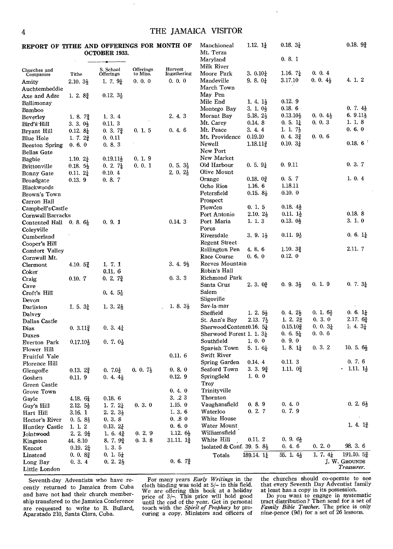| REPORT OF TITHE AND OFFERINGS FOR MONTH OF Manchioneal |           | 1.12.1 | $0.18, 3\frac{1}{2}$ | 0.18.92 |
|--------------------------------------------------------|-----------|--------|----------------------|---------|
| OCTOBER 1933.                                          | Mt. Terza |        |                      |         |

|                                    |                      | <b>OCTOBER 1933.</b>   |                       |                        | Mt. Terza                                 |                                               |                                    |                               |                                             |
|------------------------------------|----------------------|------------------------|-----------------------|------------------------|-------------------------------------------|-----------------------------------------------|------------------------------------|-------------------------------|---------------------------------------------|
|                                    |                      |                        |                       |                        | Maryland<br>Milk River                    |                                               | 0.8.1                              |                               |                                             |
| Churches and<br>Companies          | Tithe                | S. School<br>Offerings | Offerings<br>to Miss. | Harvest<br>Ingathering | Moore Park                                | 3. $0.10\frac{1}{4}$                          | 1.16. $7\frac{1}{4}$               | 0.0.4                         |                                             |
| Amity                              | $2.10.3\frac{1}{2}$  | 1. 7. $9\frac{1}{4}$   | 0.0.0                 | 0, 0, 0                | Mandeville                                | 9. 8. $0\frac{1}{4}$                          | 3.17.10                            | $0.0.4\frac{1}{2}$            | 4. 1. 2                                     |
| Auchtembeddie                      |                      |                        |                       |                        | March Town                                |                                               |                                    |                               |                                             |
| Axe and Adze                       | 1. 2. $8\frac{3}{4}$ | $0.12, 3\frac{1}{2}$   |                       |                        | May Pen                                   |                                               |                                    |                               |                                             |
| Ballimonay                         |                      |                        |                       |                        | Mile End                                  | 1. 4. $1\frac{1}{2}$                          | 0.12.9                             |                               |                                             |
| Bamboo                             |                      |                        |                       |                        | Montego Bay                               | $3.1.0\frac{1}{2}$                            | 0.18.6                             |                               | $0.7.4\frac{1}{2}$                          |
| Beverley                           | 1. 8. $7\frac{3}{4}$ | 1. 3. 4                |                       | 2.4.3                  | Morant Bay                                | $5.18.2\frac{1}{2}$                           | $0.13.10\frac{1}{2}$               | $0.0.4\frac{1}{2}$            | 6. $9.11\frac{1}{2}$                        |
| Bird's Hill                        | 3. 3. $0\frac{1}{2}$ | 0.11, 3                |                       |                        | Mt. Carey                                 | 0.14.8                                        | $0.5.1\frac{1}{4}$                 | 0, 0, 3                       | 1. 1. 8                                     |
| Bryant Hill                        | 0.12. $8\frac{1}{4}$ | $0.3.7\frac{3}{4}$     | 0.1.5                 | 0.4.6                  | Mt. Peace                                 | 3.4.4                                         | 1. 1. $7\frac{1}{2}$               |                               | 0.6.0                                       |
| <b>Blue Hole</b>                   | 1.7.2 <sub>4</sub>   | 0.0.11                 |                       |                        | Mt. Providence                            | 0.19.10                                       | 0.4.3 <sub>4</sub>                 | 0.0.6                         |                                             |
| <b>Beeston Spring</b>              | 0.6.0                | 0, 8, 3                |                       |                        | Newell                                    | $1.18.11_{2}^{3}$                             | $0.10.3\frac{1}{4}$                |                               | 0.18.6                                      |
| <b>Bellas Gate</b>                 |                      |                        |                       |                        | New Port                                  |                                               |                                    |                               |                                             |
| Bagbie                             | 1.10. $2\frac{1}{4}$ | $0.19.11\frac{1}{2}$   | 0.1.9                 |                        | New Market                                |                                               |                                    |                               | 0.3.7                                       |
| Brittonville                       | $0.18.5\frac{1}{2}$  | $0.2.7\frac{1}{4}$     | 0.0.1                 | $0.5.3\frac{1}{2}$     | Old Harbour                               | $0.5.9\frac{1}{4}$                            | 0.9.11                             |                               |                                             |
| <b>Bonny Gate</b>                  | $0.11.2\frac{1}{4}$  | 0.10.4                 |                       | 2. 0. $2\frac{1}{2}$   | Olive Mount                               |                                               | 0.5.7                              |                               | 1.0.4                                       |
| Broadgate                          | 0.13.9               | 0.8.7                  |                       |                        | Orange<br>Ocho Rios                       | 0.18, 0 <sup>3</sup> / <sub>4</sub><br>1.16.6 | 1.18.11                            |                               |                                             |
| Blackwoods                         |                      |                        |                       |                        | Petersfield                               | $0.15.8\frac{1}{2}$                           | $0.10.$ 0                          |                               |                                             |
| Brown's Town                       |                      |                        |                       |                        | Prospect                                  |                                               |                                    |                               |                                             |
| Carron Hall<br>Campbell's Castle   |                      |                        |                       |                        | Plowden                                   | 0.1.5                                         | $0.18.4\frac{1}{2}$                |                               |                                             |
| Cornwall Barracks                  |                      |                        |                       |                        | Port Antonio                              | $2.10.2\frac{1}{2}$                           | $0.11.1\frac{1}{2}$                |                               | 0.18.8                                      |
| Contented Hall 0.8. $6\frac{1}{2}$ |                      | 0, 9, 1                |                       | 0.14.3                 | Port Maria                                | 1. 1. 3                                       | $0.13.$ $0\frac{1}{2}$             |                               | 3.1.0                                       |
| Coleyville                         |                      |                        |                       |                        | Porus                                     |                                               |                                    |                               |                                             |
| Cumberland                         |                      |                        |                       |                        | Riversdale                                | 3. 9. $1\frac{1}{2}$                          | $0.11.9\frac{1}{2}$                |                               | $0.6.1\frac{1}{4}$                          |
| Cooper's Hill                      |                      |                        |                       |                        | <b>Regent Street</b>                      |                                               |                                    |                               |                                             |
| Comfort Valley                     |                      |                        |                       |                        | Rollington Pen                            | 4, 8, 6                                       | 1.10.32                            |                               | 2.11.7                                      |
| Cornwall Mt.                       |                      |                        |                       |                        | Race Course                               | 0.6.0                                         | $0.12.$ 0                          |                               |                                             |
| Clermont                           | $4.10.5\frac{3}{5}$  | 1. 7. 1                |                       | $3.4.9\}$              | Reeves Mountain                           |                                               |                                    |                               |                                             |
| Coker                              |                      | 0.11.6                 |                       |                        | Robin's Hall                              |                                               |                                    |                               |                                             |
| Craig                              | 0.10.7               | $0.2.7\frac{3}{4}$     |                       | 0.3.3                  | Richmond Park                             |                                               |                                    |                               |                                             |
| Cave                               |                      |                        |                       |                        | Santa Cruz                                | 2.3.0 <sub>4</sub> <sup>3</sup>               | $0.9.3\frac{1}{2}$                 | 0, 1, 9                       | 0. 7. $3\frac{1}{4}$                        |
| Croft's Hill                       |                      | $0.4.5\frac{1}{2}$     |                       |                        | Salem                                     |                                               |                                    |                               |                                             |
| Devon                              |                      |                        |                       |                        | Sligoville                                |                                               |                                    |                               |                                             |
| Darliston                          | 1. 5. $3\frac{1}{4}$ | 1. 3. $2\frac{1}{2}$   |                       | 1. 8. $3\frac{1}{2}$   | Sav-la-mar                                |                                               |                                    |                               |                                             |
| Dalvey                             |                      |                        |                       |                        | Sheffield                                 | 1. 2. $5\frac{1}{2}$                          | 0. 4. $2\frac{1}{2}$               | $0.1.6\frac{1}{2}$            | $0.6.1\frac{1}{4}$                          |
| Dallas Castle                      |                      |                        |                       |                        | St. Ann's Bay<br>Sherwood Content0.16. 5} | $2.13.7\frac{1}{2}$                           | 1. 2. $2\frac{3}{4}$<br>$0.15.10*$ | 0.3.0<br>$0, 0, 3\frac{1}{4}$ | $2.17.6\frac{3}{4}$<br>1. 4. $3\frac{1}{4}$ |
| Dias                               | $0.3.11\frac{3}{4}$  | $0.3.4\frac{1}{4}$     |                       |                        | Sherwood Forest 1. 1. $3\frac{1}{4}$      |                                               | $0.6.5\frac{1}{4}$                 | 0.06                          |                                             |
| Duxes                              |                      |                        |                       |                        | Southfield                                | 1.0.0                                         | 0.9.0                              |                               |                                             |
| Everton Park<br>Flower Hill        | $0.17.10\frac{1}{2}$ | 0. 7. $0\frac{1}{2}$   |                       |                        | Sparish Town                              | 5. 1. $6\frac{1}{4}$                          | 1. 8. $1\frac{1}{4}$               | 0, 3, 2                       | 10. 5. $6\frac{1}{2}$                       |
| Fruitful Vale                      |                      |                        |                       | 0.11.6                 | Swift River                               |                                               |                                    |                               |                                             |
| Florence Hill                      |                      |                        |                       |                        | Spring Garden                             | 0.14.4                                        | 0.11.3                             |                               | 0.7.6                                       |
| Glengoffe                          | $0.13.2\frac{3}{4}$  | $0.7.0\frac{1}{4}$     | 0. 0. $7\frac{1}{2}$  | 0.8.0                  | Seaford Town                              | 3. 3. $9\frac{3}{4}$                          | 1.11. $0\frac{3}{4}$               |                               | $\cdot$ 1.11. $1\frac{1}{2}$                |
| Goshen                             | 0.11.9               | $0.4.4\frac{1}{2}$     |                       | 0.12.9                 | Springfield                               | 1, 0, 0                                       |                                    |                               |                                             |
| Green Castle                       |                      |                        |                       |                        | Troy                                      |                                               |                                    |                               |                                             |
| Grove Town                         |                      |                        |                       | 0.4.0                  | Trinityville                              |                                               |                                    |                               |                                             |
| Gayle                              | 4.18. $6\frac{1}{4}$ | 0.18.6                 |                       | 3.23                   | Thornton                                  |                                               |                                    |                               |                                             |
| Guy's Hill                         | $2.12.5\frac{1}{2}$  | 1. 7. $2\frac{1}{4}$   | 0.3.0                 | 1.15.0                 | Vaughansfield                             | 0.8.9                                         | 0.4.0                              |                               | $0.2.6\frac{1}{2}$                          |
| Hart Hill                          | 3.16.1               | $2.2.3\frac{1}{2}$     |                       | 1.3.6                  | Waterloo                                  | 0.2.7                                         | 0.7.9                              |                               |                                             |
| Hector's River                     | $0.5.8_2^1$          | 0.3.8                  |                       | 0.80                   | White House                               |                                               |                                    |                               |                                             |
| <b>Huntley Castle</b>              | 1. 1. 2              | $0.13.2_4^1$           |                       | 0.6.0                  | Water Mount                               |                                               |                                    |                               | 1. 4. $1\frac{3}{4}$                        |
| Jointwood                          | $2.2.9\frac{1}{4}$   | 1. 6. $4\frac{3}{4}$   | 0.2.9                 | 1.12. $6\frac{1}{2}$   | Williamsfield                             |                                               |                                    |                               |                                             |
| Kingston                           | 44.8.10              | $8.7.9\frac{3}{4}$     | 0.3.8                 | $31.11.1\frac{3}{4}$   | White Hill                                | 0.11.2                                        | $0.9.6\frac{1}{2}$                 |                               |                                             |
| Kencot                             | $0.19.2\frac{1}{4}$  | 1.3.5                  |                       |                        | Isolated & Conf. 39. 5. $8\frac{1}{2}$    |                                               | 0.4.6                              | 0.2.0                         | 98. 3. 6                                    |
| Linstead                           | $0.0.8\frac{3}{4}$   | $0.1.5\frac{1}{4}$     |                       |                        | Totals                                    | 189.14. 1}                                    | 55. 1. $4\frac{1}{2}$              | 1. 7. $4\frac{1}{4}$          | 191.10.52                                   |
| Long Bay                           | 0, 3, 4              | $0.2.2\frac{1}{2}$     |                       | $0.6.7\frac{3}{4}$     |                                           |                                               |                                    |                               | J. W. GROUNDS<br>Treasurer.                 |
| Little London                      |                      |                        |                       |                        |                                           |                                               |                                    |                               |                                             |

Seventh-day Adventists who have recently returned to Jamaica from Cuba and have not had their church membership transfered to the Jamaica Conference are requested to write to B. Bullard, Aparatado 210, Santa Clara, Cuba. For many years *Early Writings* in the cloth binding was sold at 5/- in this field. We are offering this book at a holiday price of  $3$ /-. This price will hold good until the end of the year. Get in personal touch with the *Spirit of Prophecy* by pro-curing a copy. Ministers and officers of the churches should co-operate to see that every Seventh Day Adventist family

at least has .a copy in its possession. Do you want to engage in systematic tract distribution ? Then send for a set of *Family Bible Teacher.* The price is only nine-pence (9d) for a set of 26 lessons.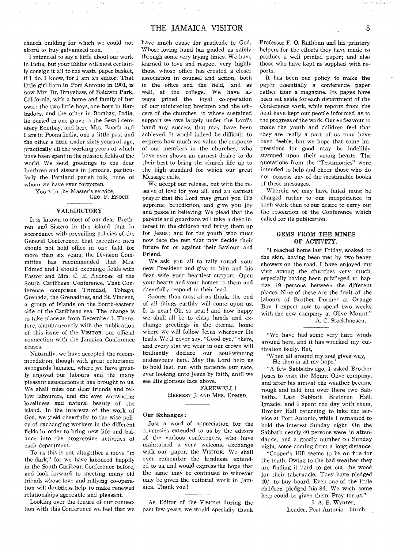church building for which we could not afford to buy galvanized iron.

I intended to say a little about our work in India, but your Editor will most certainly consign it all to the waste paper basket, if I do. I know, for **I** am an editor. That little girl born in Port Antonio in 1901, is now Mrs. Dr. Brayshaw, of Baldwin Park, California, with a home and family of her own ; the two little boys, one born in Barbadoes, and the other in Bombay, India, lie buried in one grave in the Sewri cemetery Bombay, and here Mrs. Enoch and I are in Poona India, one a little past and the other a little under sixty years of age, practically all the working years of which have been spent in the mission fields of the world. We send greetings to the dear brethren and sisters in Jamaica, particularly the Portland parish folk, none of whom we have ever forgotten.

> Yours in the Master's service, GEO. F. ENOCH

#### **VALEDICTORY**

It is known to most of our dear Brethren and Sisters in this island that in accordance with prevailing policies of the General Conference, that executive men should not hold office in one field for more than six years, the Division Committee has recommended that Mrs. Edmed and I should exchange fields with Pastor and Mrs. C. E. Andross, of the South Caribbean Conference. That Conference comprises Trinidad, Tobago, Grenada, the Grenadines, and St. Vincent, a group of Islands on the South-eastern side of the Caribbean sea. The change is to take place as from December 1. Therefore, simultaneously with the publication of this issue of the VISITOR, our official connection with the Jamaica Conference ceases.

Naturally, we have accepted the recommendation, though with great reluctance as regards Jamaica, where we have greatly enjoyed our labours and the many pleasant associations it has brought to us. We shall miss our dear friends and fellow labourers, and the ever entrancing loveliness and natural beauty of the island. In the interests of the work of God, we yield cheerfully to the wise policy of exchanging workers in the different fields in order to bring new life and balance into the progressive activities of each department.

To us this is not altogether a move "in the dark," for we have laboured happily in the South Caribean Conference before, and look forward to meeting many old friends whose love and rallying co-operation will doubtless help to make renewed relationships agreeable and pleasant.

Looking over the tenure of our connection with this Conference we feel that we have much cause for gratitude to God, Whose loving hand has guided us safely through some very trying times. We have learned to love and respect very highly those whose office has created a closer association in counsel and action, both in the office and the field, and as well, at the college. We have always prized the loyal co-operation of our ministering brethren and the officers of the churches, to whose sustained support we owe largely under the Lord's hand any success that may have been ach'eved. It would indeed be difficult to express how much we value the response of our members in the churches, who have ever shown an earnest desire to do their best to bring the church life up to the high standard for which our great Message calls.

We accept our release, but with the reserve of love for you all, and an earnest prayer that the Lord may grant you His supreme benediction, and give you joy and peace in believing. We plead that the parents and guardians will take a deep interest in the children and bring them up for Jesus; and for the youth who must now face the test that may decide their future for or against their Saviour and Friend.

We ask you all to rally round your new President and give to him and his dear wife your heartiest support. Open your hearts and your homes to them and cheerfully respond to their lead.

Sooner than most of us think, the end of all things earthly will come upon us. It is near! Oh, so near! and how happy we shall all be to clasp hands and exchange greetings in the eternal home where we will follow Jesus wherever He leads. We'll never say, "Good bye," there, and every star we wear in our crown will brilliantly declare our soul-winning endeavours here. May the Lord help us to hold fast, run with patience our race, ever looking unto Jesus by faith, until we see His glorious face above.

> FAREWELL ! HERBERT J. AND MRS. EDMED.

#### **Our Exhanges :**

Just a word of appreciation for the courtesies extended to us by the editors of the various conferences, who have maintained a very welcome exchange with our paper, the VISITOR. We shall ever remember the kindness extended to us, and would express the hope that the same may be continued to whoever may be given the editorial work in Jamaica. Thank you!

As Editor of the VISITOR during the past few years, we would specially thank Professor F. **0.** Rathbun and his printery helpers for the efforts they have made to produce a well printed paper; and also those who have kept us supplied with reports.

It has been our policy to make the paper essentially a conference paper rather than a magazine. Its pages have been set aside for each department of the Conference work, while reports from the field have kept our people informed as to the progress of the work. Our endeavour to make the youth and children feel that they are really a part of us may have been feeble, but we hope that some impressions for good may be indelibly stamped upon their young hearts. The quotations from the "Testimonies" were intended to help and cheer those who do not possess any of the inestimable books of these messages.

Wherein we may have failed must be charged rather to our inexperience in such work than to our desire to carry out the resolution of the Conference which called for its publication.

#### **GEMS FROM THE MINES OF ACTIVITY.**

"I reached home last Friday, soaked to the skin, having been met by two heavy showers on the road. I have enjoyed my visit among the churches very much, especially having been privileged to baptize 19 persons between the different places. Nine of these are the fruit of the labours of Brother Dormer at Orange Bay. I expect now to spend two weeks with the new company at Olive Mount."

A. C. Stockhausen.

"We have had some very hard winds around here, and it has wrecked my cultivation badly. But,

`When all around my soul gives way,

He then is all my hope.

"A few Sabbaths ago, I asked Brother Jones to visit the Mount Olive company, and after his arrival the weather became rough and held him over there two Sabbaths. Last Sabbath Brethren Hall, Ignacie, and I spent the day with them, Brother Hall returning to take the service at Port Antonio, while I remained to hold the interest Sunday night. On the Sabbath nearly 40 persons were in .attendance, and a goodly number on Sunday night, some coming from a long distance.

"Cooper's Hill seems to be on fire for the truth. Owing to the bad weather they are finding it hard to get out the wood for their tabernacle. They have pledged 40/- to buy board. Even one of the little children pledged his 3d. We wish some help could be given them. Pray for us."

**J.** A. B. Wynter,

Leader, Port Antonio hurch.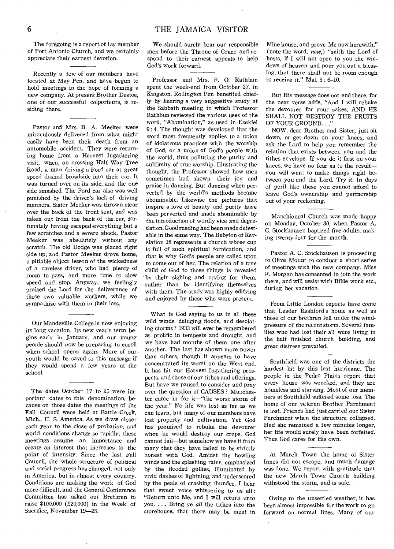The foregoing is a report of lay member of Port Antonio Church, and we certainly appreciate their earnest devotion.

Recently a few of our members have located at May Pen, and have begun to hold meetings in the hope of forming a new company. At present Brother Destoe, one *of* our *successful* colporteurs, is residing there.

Pastor and Mrs. B. A. Meeker were miraculously delivered from what might easily have been their death from an automobile accident. They were returning home from a Harvest Ingathering visit, when, on *crossing* Half Way Tree Road, a man driving a Ford car at great speed dashed broadside into their car. It was turned over on its side, and the one side smashed. The Ford car also was well punished by the driver's lack of driving manners. Sister Meeker was thrown clear over the back of the front seat, and was taken out from the back of the car, fortunately having escaped everything but a few scratches and a severe shock. Pastor Meeker was absolutely without any scratch. The old Dodge was placed right side up, and Pastor Meeker drove home, a pitiable object lesson of the wickedness of a careless driver, who had plenty of room to pass, and more time to slow speed and stop. Anyway, we feelingly praised the Lord for the deliverance of these two valuable workers, while we sympathize with them in their loss.

Our Mandeville College is now enjoying its long vacation. Its new year's term begins early in January, and our young people should now be preparing to enroll when school opens again. More of our youth would be saved to this message if they would spend a few years at the school.

The dates October 17 to 25 were important dates to this denomination, because on those dates the meetings of the Fall Council were held at Battle Creek, Mich., U. S. America. As we draw closer each year to the *close* of probation, and world conditions change so rapidly, these meetings assume an importance and create an interest that increases to the point of intensity. Since the last Fall Council, the whole structure of political and social progress has changed, not only in America, but in almost every country. Conditions are making the work of God more difficult, and the General Conference Committee has asked our Brethren to raise \$100,000 (£20,000) in the Week of Sacrifice, November 19-25.

We should surely bear our responsible men before the Throne of Grace and respond to their earnest appeals to help God's work forward.

Professor and Mrs. F. O. Rathbun spent the week-end from October 27, in Kingston. Rollington Pen benefited chiefly by hearing a very *suggestive* study at the Sabbath meeting in which Professor Rathbun reviewed the various uses of the word, "Abomination," as used in Ezekiel 9 : 4. The thought was developed that the word most frequently applies to a union of idolatrous practices with the worship of God, or a union of God's people with the world, thus polluting the purity and sublimity of true worship. Illustrating the thought, the Professor showed how men sometimes had shown their joy and praise in dancing. But dancing when perverted by the world's methods became abominable. Likewise the pictures that inspire a love of beauty and purity have been perverted and made abominable by the introduction of wordly vice and depredation. Good reading had been made detestable in the same way. The Babylon of Revelation 18 represents a church whose cup is full of such spiritual fornication, and that is why God's people are called upon to come out of her. The relation *of* a true child of God to those things is revealed by their sighing and crying for them, rather than by identifying themselves with them. The study was highly edifying and enjoyed by those who were present.

What is God saying to us in all these wild winds, deluging floods, and desolating storms ? 1933 will ever be remembered as prolific in tempests and drought, and we have had months of them one after another. The last has shown more power than others, though it, appears to have concentrated its worst on the West end. It has hit our Harvest Ingathering prospects, and those of our tithes and offerings. But have we paused to consider and pray over the question of CAUSES ? Manchester came in for it—"the worst storm of the year." No life was lost *as* far as we can learn, but many of our members have lost property and cultivation. Yet God has promised to rebuke the devourer when he would destroy our crops. God cannot fail—but somehow we have it from many that they have failed to be strictly honest with God. Amidst the howling winds and the splashing rains, emphasized by the flooded gullies, illuminated by vivid flashes of lightning, and underscored by the peals of crashing thunder, I hear that sweet voice whispering to us all: "Return unto Me, and I will return unto you. . . . Bring ye *all* the tithes into the storehouse, that there may be meat in

Mine house, and prove Me now herewith," (note the word, *now,)* "saith the Lord of hosts, if I will not open to you the windows of heaven, and pour you out a blessing, that there shall not be room enough to receive it." Mal. 3: 6-10.

But His message does not end there, for the next verse adds, "And I will rebuke the devourer for your sakes, AND HE SHALL NOT DESTROY THE FRUITS OF YOUR GROUND. . ."

NOW, dear Brother and Sister, just sit down, or get down on your knees, and ask the Lord to help you remember the relation that exists between you and the tithes envelope. If you do it first on your knees, we have no fear as to the result you will want to make things right between you and the Lord. Try it. In days of peril like these you cannot afford to leave God's ownership and partnership out of your reckoning.

Manchioneal Church was made happy on Monday, October 30, when Pastor A. C. Stockhausen baptized five adults, making twenty-four for the month.

Pastor A. C. Stockhausen is proceeding to Olive Mount to conduct a short series of meetings with the new company. Miss F. Morgan has consented to join the work there, and will assist with Bible work etc., during her vacation.

From Little London reports have *come*  that Leader Rashford's home as well as those of our brethren fell under the windpressure of the recent storm. Several families who had lost their all were living in the half finished church building, and great distress prevailed.

Southfield was one of the districts the hardest hit by this last hurricane. The people in the Pedro Plains report that every house was wrecked, and they are homeless and starving. Most of our members at Southfield suffered some loss. The home of our veteran Brother Parchment is lost. Friends had just carried out Sister Parchment when the structure collapsed. Had she remained a few minutes longer, her life would surely have been forfeited. Thus God cares for His own.

At March Town the home of Sister Innes did not escape, and much damage was done. We report with gratitude that the new March Town Church building withstood the storm, and is safe.

Owing to the unsettled weather, it has been almost impossible for the work to go forward on normal lines. Many of our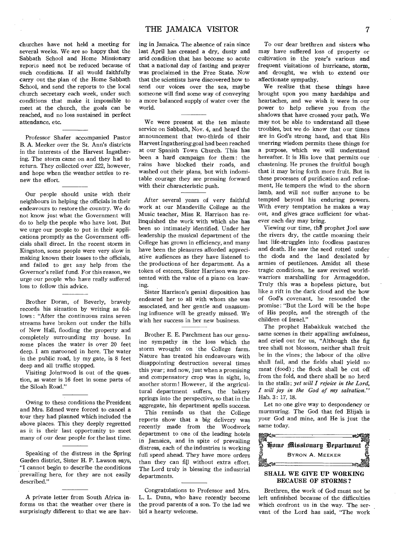churches have not held a meeting for several weeks. We are so happy that the Sabbath School and Home Missionary reports need not be reduced because of such conditions. If all would faithfully carry out the plan of the Home Sabbath School, and send the reports to the local church secretary each week, under such conditions that make it impossible to meet at the church, the goals can be reached, and no loss sustained in perfect attendance, etc.

Professor Shafer accompanied Pastor B. A. Meeker over the St. Ann's districts in the interests of the Harvest Ingathering. The storm came on and they had to return. They collected over £22, however, and hope when the weather settles to renew the effort.

Our people should unite with their neighbours in helping the officials in their endeavours to restore the country. We do not know just what the Government will do to help the people who have lost. But we urge our people to put in their applications promptly as the Government officials shall direct. In the recent storm in Kingston, some people were very slow in making known their losses to the officials, and failed to get any help from the Governor's relief fund. For this reason, we urge our people who have really suffered loss to follow this advice.

Brother Doran, of Beverly, bravely records his situation by writing as follows : "After the continuous rains seven streams have broken out under the hills of New Hall, flooding the property and completely surrounding my house. In some places the water is over 20 feet deep. I am marooned in here. The water in the public road, by my gate, is 8 feet deep and all traffic stopped.

Visiting Jointwood is out of the question, as water is 16 feet in some parts of the Siloah Road."

Owing to these conditions the President and Mrs. Edmed were forced to cancel a tour they had planned which included the above places. This they deeply regretted as it is their last opportunity to meet many of our dear people for the last time.

Speaking of the distress in the Spring Garden district, Sister H. P. Lawson says, ."I cannot begin to describe the conditions prevailing here, for they are not easily described."

A private letter from South Africa informs us that the weather over there is surprisingly different to that we are having in Jamaica. The absence of rain since last April has created a dry, dusty and arid condition that has become so acute that a national day of fasting and prayer was proclaimed in the Free State. Now that the scientists have discovered how to send our voices over the sea, maybe someone will find some way of conveying a more balanced supply of water over the world.

We were present at the ten minute service on Sabbath, Nov. 4, and heard the announcement that two-thirds of their Harvest Ingathering goal had been reached at our Spanish Town Church. This has been a hard campaign for them : the rains have blocked their roads, and washed out their plans, but with indomitable courage they are pressing forward with their characteristic push.

After several years of very faithful work at our Mandeville College as the Music teacher, Miss R. Harrison has relinquished the work with which she has been so intimately identified. Under her leadership the musical department of the College has grown in efficiency, and many have been the pleasures afforded appreciative audiences as they have listened to the productions of her department. As a token of esteem, Sister Harrison was presented with the value of a piano on leaving.

Sister Harrison's genial disposition has endeared her to all with whom she was associated, and her gentle and unassuming influence will be greatly missed. We wish her success in her new business.

Brother E. E. Parchment has our genuine sympathy in the loss which the storm wrought on the College farm. Nature has treated his endeavours with disappointing destruction several times this year; and now, just when a promising and compensatory crop was in sight, lo, another storm ! However, if the argricultural department suffers, the bakery springs into the perspective, so that in the aggregate, his department spells success.

This reminds us that the College reports show that a big delivery was recently made from the Woodwork department to one of the leading hotels in Jamaica, and in spite of prevailing distress, each of the industries is working full speed ahead. They have more orders than they can fill without extra effort. The Lord truly is blessing the industrial departments.

Congratulations to Professor and Mrs. L. L. Dunn, who have recently become the proud parents of a son. To the lad we bid a hearty welcome.

To our dear brethren and sisters who may have suffered loss of property or cultivation in the year's various and frequent visitations of hurricane, storm, and drought, we wish to extend our affectionate sympathy.

We realize that these things have brought upon you many hardships and heartaches, and we wish it were in our power to help relieve you from the shadows that have crossed your path. We may not be able to understand all these troubles, but we do know that our times are in God's strong hand, and that His unerring wisdom permits these things for a purpose, which we will understand hereafter. It is His love that permits our chastening. He prunes the fruitful bough that it may bring forth more fruit. But in these processes of purification and refinement, He tempers the wind to the shorn lamb, and will not suffer anyone to be tempted beyond his enduring powers. With every temptation he makes a way out, and gives grace sufficient for whatever each day may bring.

Viewing our time, the prophet Joel saw the rivers dry, the cattle moaning their last life-struggles into foodless pastures and death. He saw the seed rotted under the clods and the land desolated by armies of pestilences. Amidst all these tragic conditions, he saw revived worldwarriors marshalling for Armageddon. Truly this was a hopeless picture, but like a rift in the dark cloud and the bow of God's covenant, he resounded the promise: "But the Lord will be the hope of His people, and the strength of the children of Israel."

The prophet Habakkuk watched the same scenes in their appalling awfulness, and cried out for us, "Although the fig tree shall not blossom, neither shall fruit be in the vines; the labour of the olive shall fail, and the fields shall yield no meat (food) ; the flock shall be cut off from the fold, and there shall be no herd in the stalls; *yet will I rejoice in the Lord, I will joy in the God of my salvation."*  Hab. 3: 17, 18.

Let no one give way to despondency or murmuring. The God that fed Elijah is your God and mine, and He is just the same today.



# SHALL WE GIVE UP WORKING BECAUSE OF STORMS ?

Brethren, the work of God must not be left unfinished because of the difficulties which confront us in the way. The servant of the Lord has said, "The work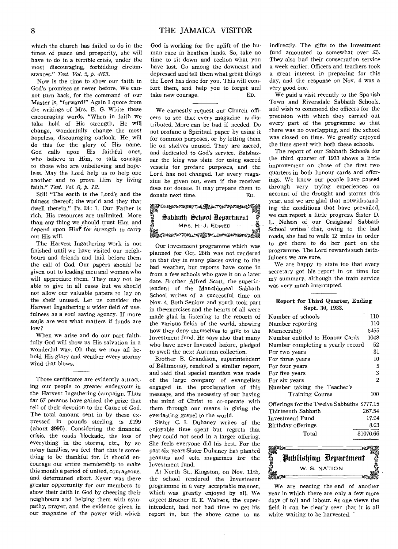which the church has failed to do in the times of peace and prosperity, she will have to do in a terrible crisis, under the most discouraging, forbidding circumstances." *Test. Vol.* 5, *p. 463.* 

Now is the time to show our faith in God's promises as never before. We cannot turn back, for the command of our Master is, "forward!" Again I quote from the writings of Mrs. E. G. White these encouraging words, "When in faith we take hold of His strength, He will change, wonderfully change the most hopeless, discouraging outlook. He will do this for the glory of His name. God calls upon His faithful ones, who believe in Him, to talk courage to those who are unbelieving and hopeless. May the Lord help us to help one another and to prove Him by living faith." *Test. Vol. 8, p. 12.* 

Still "The earth is the Lord's and the fulness thereof; the world and they that dwell therein." Ps. 24: 1. Our Father is rich. His resources are unlimited. More than any thing we should trust Him and depend upon Hin<sup>t</sup> for *strength* to carry out His will.

The Harvest Ingathering work is not finished until we have visited our neighbours and friends and laid before them the call of God. Our papers should be given out to leading men and women who will appreciate them. They may not be able to give in all cases but we should not allow our valuable papers to lay on the shelf unused. Let us consider the Harvest Ingathering a wider field of usefulness as a soul saving agency. If more souls are won what matters if funds are low ?

When we arise and do our part faithfully God will show us His salvation in a wonderful way. Oh that we may all behold His glory and weather every stormy wind that blows.

Those certificates are evidently attracting our people to greater endeavour in the Harvest Ingathering campaign. Thus far 67 persons have gained the prize that tell of their devotion to the Cause *of* God. The total amount sent in by these expressed in pounds sterling, is £199 (about \$995). Considering the financial crisis, the roads blockade, the loss of everything in the storms, etc., by so many families, we feel that this is something to be thankful for. It should encourage our entire membership to make this month a period of united, courageous, and determined effort. Never was there *greater* opportunity for our members to show their faith in God by cheering their neighbours and helping them with sympathy, prayer, and the evidence given in our magazine of the power with which

God is working for the uplift of the human race in heathen lands. So, take no time to sit down and reckon what you have lost. Go among the downcast and depressed and tell them what great things the Lord has done for you. This will comfort them, and help you to forget and take new courage. ED.

We earnestly request our Church officers to see that every magazine is distributed. More can be had if needed. Do not profane a Spiritual paper by using it for common purposes, or by letting them lie on shelves unused. They are sacred, and dedicated to God's *service.* Belshazzar the king was slain for using sacred vessels for profane purposes, and the Lord has not changed. Let every magazine be given out, even if the receiver does not donate. It may prepare them to donate next time. ED.

donate next time.<br>**November - 1962 - Montenante**<br>OS Subhath School Department<br>OS Subhath School Department Sabbath School Department .\_, mm Charles Communist Charles Charles Charles Charles Charles Charles Charles Charles Charles Charles Charles C<br>GM MRS. H. J. EDMED

Our Investment programme which was planned for Oct. 28th was not rendered on that day in many places owing to the bad weather, but reports have come in from a few schools who gave it on a later date. Brother Alfred Scott, the superintendent of the Manchioneal Sabbath School writes of a successful time on Nov. 4. Both Seniors and youth took part in the exercises and the hearts of all were made glad in listening to the reports of the various fields of the world, showirg how they deny themselves to give to the Investment fund. He says also that many who have never Invested before, pledged to swell the next Autumn collection.

Brother B. Grandison, superintendent of Ballimonay, rendered a similar report, and said that special mention was made of the large company of evangelists engaged in the proclamation of this message, and the necessity of our having the mind of Christ to co-operate with them through our means in giving the everlasting gospel to the world.

Sister C. I. Duhaney writes of the enjoyable time spent but regrets that they could not send in a larger offering. She feels everyone did his best. For the past six years Sister Duhaney has planted peanuts and sold magazines for the Investment fund.

At North St., Kingston, on Nov. 11th, the school rendered the Investment programme in a very acceptable manner, which was greatly enjoyed by all. We expect Brother E. E. Walters, the superintendent, had not had time to get his report in, but the above came to us

indirectly. The gifts to the Investment fund amounted to somewhat over £5. They also had their consecration service a week earlier. Officers and teachers took a great interest in preparing for this day, and the response on Nov. 4 was a very good one.

We paid a visit recently to the Spanish Town and Riversdale Sabbath Schools, and wish to commend the officers for the precision with which they carried out every part of the programme so that there was no overlapping, and the school was closed on time. We greatly enjoyed the time spent with both these schools.

The report of our Sabbath Schools for the third quarter of 1933 shows a little improvement on those of the first two quarters in both honour cards and offerings. We know our people have passed through very trying experiences on account of the drought and storms this year, and we are glad that notwithstanding the conditions that have prevailed, we can report a little progress. Sister D. L. Nelson of our Craighead Sabbath School writes that, owing to the bad roads, she had to walk 12 miles in order to get there to do her part on the programme. The Lord rewards such faithfulness we are sure.

We are happy to state too that every secretary got his report in on time for my summary, although the train service was very much interrupted.

# Report for Third Quarter, Ending Sept. 30, 1933.

| Number of schools                          | 110       |
|--------------------------------------------|-----------|
| Number reporting                           | 110       |
| Membership                                 | 5455      |
| Number entitled to Honour Cards            | 1048      |
| Number completing a yearly record          | 52        |
| For two years                              | 31        |
| For three years                            | 10        |
| For four years                             | 5         |
| For five years                             | 3         |
| For six years                              | 2         |
| Number taking the Teacher's                |           |
| <b>Training Course</b>                     | 100       |
| Offerings for the Twelve Sabbaths \$777.15 |           |
| Thirteenth Sabbath                         | 267.54    |
| Investment Fund                            | 17.94     |
| Birthday offerings                         | $8.03\,$  |
| Total                                      | \$1070.66 |

Publishing Department W. S. NATION

We are nearing the end of another year in which there are only a few more days of toil and labour. As one views the field it can be clearly seen that it is all white waiting to be harvested.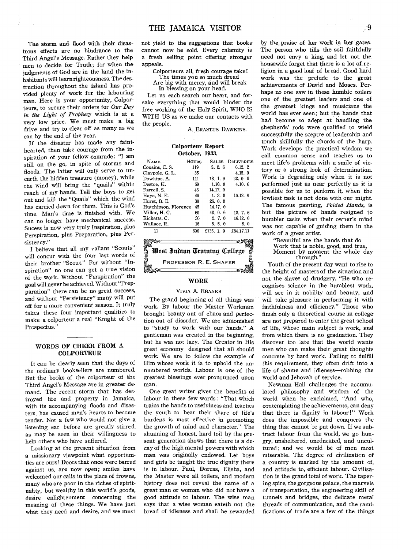The storm and flood with their disastrous effects are no hindrance to the Third Angel's Message. Rather they help men to decide for Truth; for when the judgments of God are in the land the inhabitants will learn righteousness. The destruction throughout the Island has provided plenty of work for the labouring man. Here is your opportunity, Colporteurs, to secure their orders for *Our Day in the Light of Prophecy* which is at a very low price. We must make a big drive and try to clear off as many as we can by the end of the year.

If the disaster has made any fainthearted, then take courage from the inspiration of your fellow comrade: "I am still on the go, in spite of storms and floods. The latter will only serve to unearth the hidden treasure (money), while the wind will bring the "quails" within reach of my hands. Tell the boys to get out and kill the "Quails" which the wind has carried down for them. This is God's time. Man's time is finished with. We can no longer have mechanical success. Sucess is now very truly Inspiration, plus Perspiration, plus Preparation, plus Persistency."

I believe that all my valiant "Scouts" will concur with the four last words of their brother "Scout." For without "Inspiration" no one can get a true vision of the work. Without "Perspiration" the goal will never be achieved. Without "Prepparation" there can be no great success, and without "Persistency" many will put off for a more convenient season. It truly takes these four important qualities to make a colporteur a real "Knight of the Prospectus."

#### WORDS OF CHEER FROM A COLPORTEUR

It can be clearly seen that the days of the ordinary booksellers are numbered. But the books of the colporteur of the Third Angel's Message are in greater demand. The recent storm that has destroyed life and property in Jamaica, with its accompanying floods and disasters, has caused men's hearts to become tender. Not a few who would not give a listening ear before are greatly stirred, as may be seen in their willingness to help others who have suffered.

Looking at the present situation from a missionary viewpoint what opportunities are ours! Doors that once were barred against us, are now open; smiles have welcomed our calls in the place of frowns, many who are poor in the riches of spirituality, but wealthy in this world's goods, desire enlightenment concerning the meaning of these things. We have just what they need and desire, and we must not yield to the suggestions that books cannot now be sold. Every calamity is a fresh selling point offering stronger appeals.

Colporteurs all, fresh courage take!

The times you so much dread Are big with mercy, and will break

In blessing on your head.

Let us each search our heart, and forsake everything that would hinder the free working of the Holy Spirit, WHO IS WITH US as we make our contacts with the people.

A. ERASTUS DAWKINS.

#### Colporteur Report October, 1933.

| <b>NAME</b>                  | HOURS | <b>SALES</b> | <b>DELIVERIES</b> |  |  |  |
|------------------------------|-------|--------------|-------------------|--|--|--|
| Cousins, C. S.               | 119   | 5, 0, 6      | 6.12.2            |  |  |  |
| Claypole, G. L.              | 35    |              | 4.15.0            |  |  |  |
| Dawkins. A.                  | 111   | 18.1.9       | 23.0.0            |  |  |  |
| Destoe. K.                   | 69    | 1.10.0       | 4.10.6            |  |  |  |
| Farrell. S.                  | 45    | 14.17.0      |                   |  |  |  |
| Have, N. E.                  | 40    | 4.3.0        | 10.12.9           |  |  |  |
| Hurst, B. E.                 | 30    | 26.0.0       |                   |  |  |  |
| Hutchinson, Florence         | 45    | 14.17. 0     |                   |  |  |  |
| Miller, H. G.                | 60    | 43.0.6       | 18.7.6            |  |  |  |
| Ricketts. C.                 | 36    | 2, 7, 0      | 16.12.0           |  |  |  |
| Wallace, R.                  | 16    | 5.5.0        | 8.0               |  |  |  |
| 11                           | 606   | £135. 1. 9   | £84.17.11         |  |  |  |
| - 04                         |       |              | 10.               |  |  |  |
| West Indian Training College |       |              |                   |  |  |  |
|                              |       |              |                   |  |  |  |
|                              |       |              |                   |  |  |  |

Wrst Indian Training College PROFESSOR **R. E.** SHAFER ≋তি∠েনা

#### WORK

# VIVIA A. EBANKS

The grand beginning of all things was work. By labour the Master Workman brought beauty out of chaos and perfection out of disorder. We are admonished to "study to work with our hands." A gentleman was created in the beginning, but he was not lazy. The Creator in His great economy designed that all should work. We are to follow the example of Him whose work it is to uphold the unnumbered worlds. Labour is one of the greatest blessings ever pronounced upon man.

One great writer gives the benefits of labour in these few words: "That which trains the hands to usefulness and teaches the youth to bear their share of life's burdens is most effective in promoting the growth of mind and character." The shunning of honest, hard toil by the present generation shows that there is a decay of the high mental powers with which man was originally endowed. Let boys and girls be taught the true dignity there is in labour. Paul, Dorcas, Elisha, and the Master were all toilers, and modern history does not reveal the name of a great man or woman who did not have a good attitude to labour. The wise man says that a wise woman eateth not the bread of idleness and shall be rewarded

by the praise of her work in her gates. The person who tills the soil faithfully need not envy a king, and let not the housewife forget that there is a lot of religion in a good loaf of bread. Good hard work was the prelude to the great achievements of David and Moses. Perhaps no one saw in these humble toilers one of the greatest leaders and one of the greatest kings and musicians the world has ever seen; but the hands that had become so adept at handling the shepherds' rods were qualified to wield successfully the sceptre of leadership and touch skillfully the chords of the harp. Work develops the practical wisdom we call common sense and teaches us to meet life's problems with a smile of victory or a strong look of determination. Work is degrading only when it is not performed just as near perfectly as it is possible for us to perform it, when the lowliest task is not done with our might. The famous painting, *Folded Hands,* is but the picture of hands resigned to humbler tasks when their owner's mind was not capable of guiding them in the work of a great artist.

> "Beautiful are the hands that do Work that is noble, good, and true, Moment by moment the whole day through."

Youth of the present day want to rise to the height of masters of the situation and not the slaves of drudgery. "He who recognizes science in the humblest work, will see in it nobility and beauty, and will take pleasure in performing it with faithfulness and efficiency." Those who finish only a theoretical course in college are not prepared to enter the great school of life, *whose* main subject is work, and from which there is no graduation. They discover too late that the world wants men who can make their great thoughts concrete by hard work. Failing to fulfill this requirement, they often drift into a life of shame and idleness—robbing the world and Jehovah of service.

Newman Hall challenges the accumulated philosophy and wisdom of the world when he exclaimed, "And who, contemplating the achievements, can deny that there is dignity in labour!" Work does the impossible and conquers the thing that cannot be put down. If we subtract labour from the world, we go hungry, unsheltered, uneducated, and uncultured; and we would be of men most miserable. The degree of civilization of a country is marked by the amount of, and attitude to, efficient labour. Civilization is the grand total of work. The tapering spire, the gorgeous palace, the marvels of transportation, the engineering skill of tunnels and bridges, the delicate metal threads of communication, and the ramifications of trade are a few of the things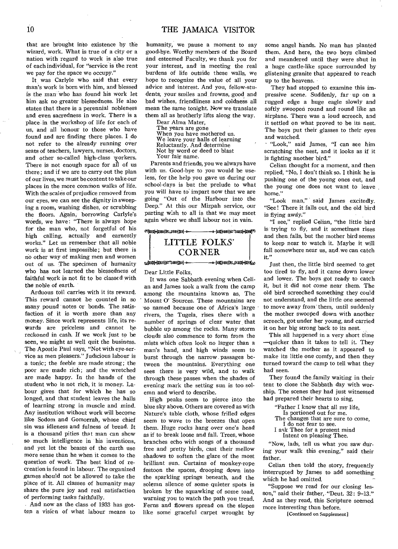that are brought into existence by the wizard, work. What is true of a city or a nation with regard to work is also true of each individual, for "service is the rent we pay for the space we occupy."

It was Carlyle who said that every man's work is born with him, and blessed is the man- who has found his work let him ask no greater blessedness. He also states that there is a perennial nobleness and even sacredness in work. There is a place in the workshop of life for each of us, and all honour to those who have found and are finding there places. I do not refer to the already running over seats of teachers, lawyers, nurses, doctors, and other so-called high-class workers. There is not enough space for all of us there ; and if we are to carry out the plan of our lives, we must be content to take our places in the more common walks of life. With the scales of prejudice removed from our eyes, we can see the dignity in sweeping a room, washing dishes, or scrubbing the floors. Again, borrowing Carlyle's words, we have: "There is always hope for the man who, not forgetful of his high calling, actually and earnestly works." Let us remember that all noble work is at first impossible; but there is no other way of making men and women out of us. The specimen of humanity who has not learned the blessedness of faithful work is not fit to be classed with the noble of earth.

Arduous toil carries with it its reward. This reward cannot be- counted in so many pound notes or bonds. The satisfaction of it is worth more than any money. Since work represents life, its re-Wards are priceless and cannot be reckoned in cash. If we work just to be seen, we might as well quit the business. The Apostle Paul says, "Not with eye-service as men pleasers." Judicious labour is a tonic; the feeble are made strong; the poor are made rich; and the wretched are made happy. In the hands of the student who is not rich, it is money. Labour gives that for which he has so longed, and that student leaves the halls of learning strong in muscle and mind. Any institution without work will become like Sodom and Gomorrah, whose chief sin was idleness and fulness of bread. It is a thousand pities that man can show so much intelligence in his inventions, and yet let the beasts of the earth use more sense than he when it comes to the question of work. The best kind of recreation is found in labour. The organized games should not be allowed to take the place of it. All classes of humanity may share the pure joy and real satisfaction of performing tasks faithfully.

- And now as the class of 1933 has gotten a visfen of what labour means to

humanity, we pause a moment to say good-bye. Worthy members of the Board and esteemed Faculty, we thank you for your interest, and in meeting the real burdens of life outside these walls, we hope to recognize the value of all your advice and interest. And you, fellow-students, your smiles and frowns, good and bad wishes, friendliness and coldness all mean the same tonight. Now we translate them all as brotherly lifts along the way.

Dear Alma Mater, The years are gone When you have mothered us. We leave your halls of learning Reluctantly. And determine Not by word or deed to blast Your fair name.

Parents and friends, you we always have with us. Good-bye to you would be useless, for the help you gave us during our school-days is but the prelude to what you will have to impart now that we are going "Out of the Harbour into the Deep." At this our Mizpah service, our parting wish to all is that we may meet again where we shall labour not in vain.



Dear Little Folks, It was one Sabbath evening when Celian and James took a walk from the camp among the mountains known as, The Mount 0' Sources. These mountains are 'so named because one of Africa's large rivers, the Tugela, rises there with a number of springs of clear water that bubble up among the rocks. Many storm clouds also commence to form from the mists which often look no larger than a man's hand, and high winds seem to burst through the narrow passages between the mountains. Everything one sees there is very wild, and to walk through these passes when the shades of evening mark the setting sun is too solemn and wierd to describe.

High peaks seem to pierce into the blue sky above. Others are covered as with Nature's table cloth, whose frilled edges seem to wave to the breezes that open them. Huge rocks hang over one's head as if to break loose and fall. Trees, whose branches echo with songs of a thousand free and pretty birds, cast their mellow shadows to soften the glare of the most brilliant sun. Curtains of monkey-rope festoon the spaces, drooping down into the sparkling springs beneath, and the solemn silence of some quieter spots is broken by the squawking of some toad, warning you to watch the path you tread. Ferns and flowers spread on the slopes like some graceful carpet wrought by

some angel hands. No man has planted them. And here, the two boys climbed and meandered until they were shut in a huge castle-like space surrounded by glistening granite that appeared to reach up to the heavens.

They had stopped to examine this impressive *scene.* Suddenly, far up on a rugged edge a huge eagle slowly and softly swooped round and round like an airplane. There was a loud screech, and it settled on what proved to be its nest. The boys put their glasses to their eyes and watched.

- "Look," said James, "I can see him scratching the nest, and it looks as if it is fighting another bird."

Celian thought for a moment, and then replied, "No, I don't think so. I think he is pushing one of the young ones out, and the young one does not want to leave home."

"Look man," said James excitedly. "See! There it falls out, and the old bird is flying away."

it. **Y>**  "I see," replied Celian, "the little bird is trying to fly, and it sometimes rises and then falls, but the mother bird seems to keep near to watch it. Maybe it will fall somewhere near us, and we can catch

Just then, the little bird seemed to get too tired to fly, and it came down lower and lower. The boys got ready to catch it, but it did not come near them. The old bird screeched something they could not understand, and the little one seemed to move away from them, until suddenly the mother swooped down with another screech, got under her young, and carried it on her big strong back to its nest.

This all happened in a very short time —quicker than it takes to tell it. They watched the mother as it appeared to make its little one comfy, and then they turned toward the camp to tell what they had seen.

They found the family waiting in their tent to close the Sabbath day with worship. The scenes they had just witnessed had prepared their hearts to sing,

- "Father I know that all my life,
- Is portioned out for me.
- The changes that are sure to come, I do not fear to see.
- I ask Thee for a present mind
- Intent on pleasing Thee.

"Now, lads, tell us what you saw during your walk this evening," said their father.

Celian then told the story, frequently interrupted by James to add something which he had omitted.

"Suppose we read for our closing lesson," said their father, "Deut. 32: 9-13." And as they read, this Scripture seemed more interesting than before.

[Continued on Supplement]